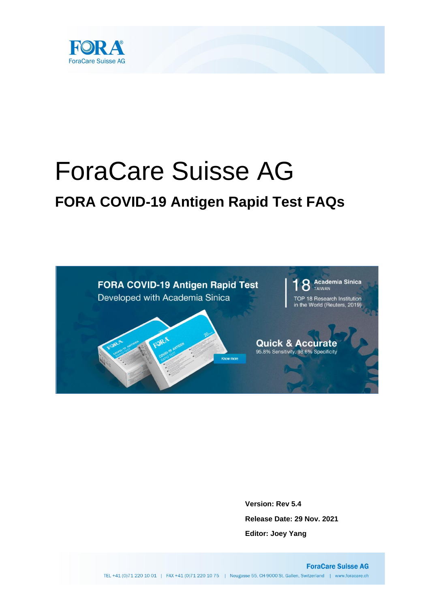

# ForaCare Suisse AG **FORA COVID-19 Antigen Rapid Test FAQs**



**Version: Rev 5.4 Release Date: 29 Nov. 2021 Editor: Joey Yang**

**ForaCare Suisse AG** TEL +41 (0)71 220 10 01 | FAX +41 (0)71 220 10 75 | Neugasse 55, CH-9000 St. Gallen, Switzerland | www.foracare.ch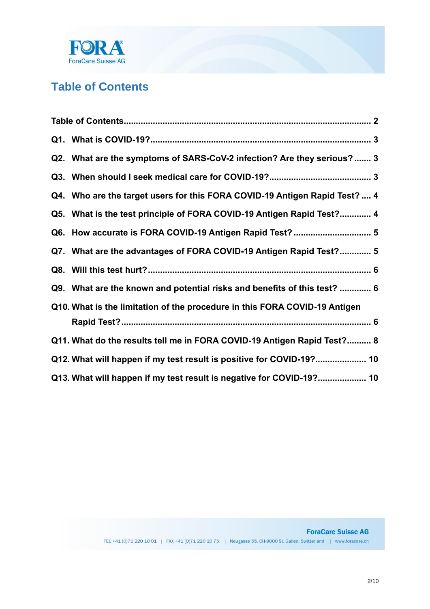

# <span id="page-1-0"></span>**Table of Contents**

| Q2. What are the symptoms of SARS-CoV-2 infection? Are they serious? 3     |  |
|----------------------------------------------------------------------------|--|
|                                                                            |  |
| Q4. Who are the target users for this FORA COVID-19 Antigen Rapid Test?  4 |  |
| Q5. What is the test principle of FORA COVID-19 Antigen Rapid Test? 4      |  |
| Q6. How accurate is FORA COVID-19 Antigen Rapid Test?  5                   |  |
| Q7. What are the advantages of FORA COVID-19 Antigen Rapid Test? 5         |  |
|                                                                            |  |
| Q9. What are the known and potential risks and benefits of this test?  6   |  |
| Q10. What is the limitation of the procedure in this FORA COVID-19 Antigen |  |
| Q11. What do the results tell me in FORA COVID-19 Antigen Rapid Test? 8    |  |
| Q12. What will happen if my test result is positive for COVID-19? 10       |  |
| Q13. What will happen if my test result is negative for COVID-19? 10       |  |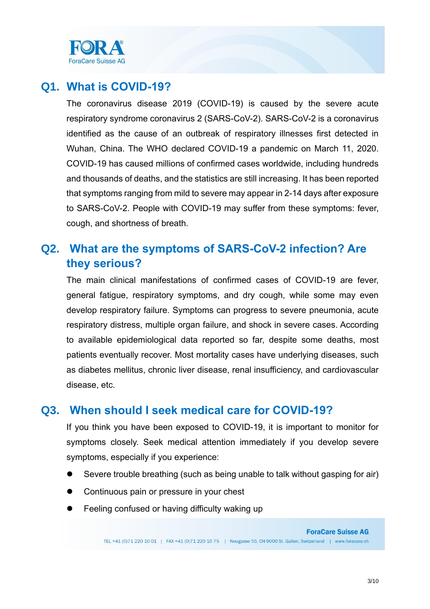

## <span id="page-2-0"></span>**Q1. What is COVID-19?**

The coronavirus disease 2019 (COVID-19) is caused by the severe acute respiratory syndrome coronavirus 2 (SARS-CoV-2). SARS-CoV-2 is a coronavirus identified as the cause of an outbreak of respiratory illnesses first detected in Wuhan, China. The WHO declared COVID-19 a pandemic on March 11, 2020. COVID-19 has caused millions of confirmed cases worldwide, including hundreds and thousands of deaths, and the statistics are still increasing. It has been reported that symptoms ranging from mild to severe may appear in 2-14 days after exposure to SARS-CoV-2. People with COVID-19 may suffer from these symptoms: fever, cough, and shortness of breath.

## <span id="page-2-1"></span>**Q2. What are the symptoms of SARS-CoV-2 infection? Are they serious?**

The main clinical manifestations of confirmed cases of COVID-19 are fever, general fatigue, respiratory symptoms, and dry cough, while some may even develop respiratory failure. Symptoms can progress to severe pneumonia, acute respiratory distress, multiple organ failure, and shock in severe cases. According to available epidemiological data reported so far, despite some deaths, most patients eventually recover. Most mortality cases have underlying diseases, such as diabetes mellitus, chronic liver disease, renal insufficiency, and cardiovascular disease, etc.

## **Q3. When should I seek medical care for COVID-19?**

<span id="page-2-2"></span>If you think you have been exposed to COVID-19, it is important to monitor for symptoms closely. Seek medical attention immediately if you develop severe symptoms, especially if you experience:

- Severe trouble breathing (such as being unable to talk without gasping for air)
- Continuous pain or pressure in your chest
- Feeling confused or having difficulty waking up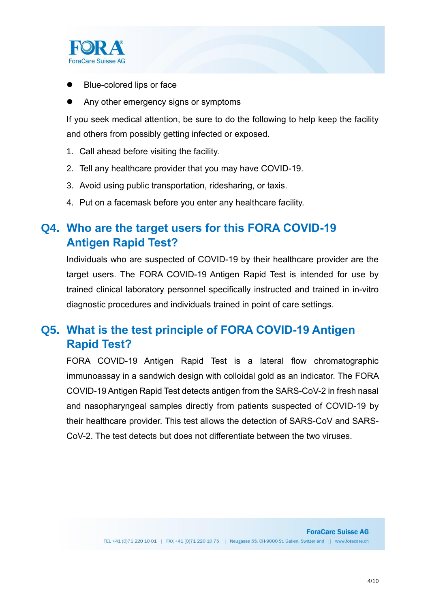

- Blue-colored lips or face
- Any other emergency signs or symptoms

If you seek medical attention, be sure to do the following to help keep the facility and others from possibly getting infected or exposed.

- 1. Call ahead before visiting the facility.
- 2. Tell any healthcare provider that you may have COVID-19.
- 3. Avoid using public transportation, ridesharing, or taxis.
- 4. Put on a facemask before you enter any healthcare facility.

## <span id="page-3-0"></span>**Q4. Who are the target users for this FORA COVID-19 Antigen Rapid Test?**

Individuals who are suspected of COVID-19 by their healthcare provider are the target users. The FORA COVID-19 Antigen Rapid Test is intended for use by trained clinical laboratory personnel specifically instructed and trained in in-vitro diagnostic procedures and individuals trained in point of care settings.

## <span id="page-3-1"></span>**Q5. What is the test principle of FORA COVID-19 Antigen Rapid Test?**

FORA COVID-19 Antigen Rapid Test is a lateral flow chromatographic immunoassay in a sandwich design with colloidal gold as an indicator. The FORA COVID-19 Antigen Rapid Test detects antigen from the SARS-CoV-2 in fresh nasal and nasopharyngeal samples directly from patients suspected of COVID-19 by their healthcare provider. This test allows the detection of SARS-CoV and SARS-CoV-2. The test detects but does not differentiate between the two viruses.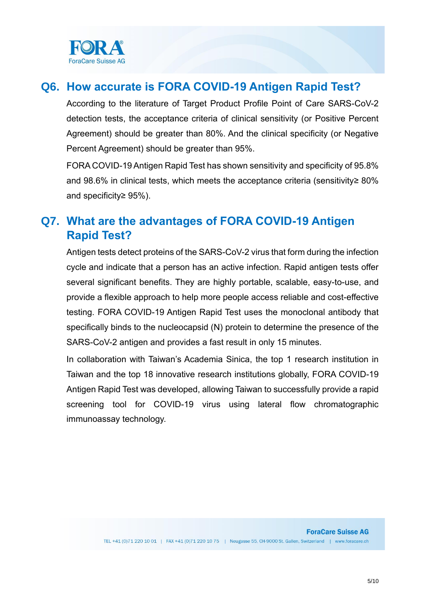

## <span id="page-4-0"></span>**Q6. How accurate is FORA COVID-19 Antigen Rapid Test?**

According to the literature of Target Product Profile Point of Care SARS-CoV-2 detection tests, the acceptance criteria of clinical sensitivity (or Positive Percent Agreement) should be greater than 80%. And the clinical specificity (or Negative Percent Agreement) should be greater than 95%.

FORA COVID-19 Antigen Rapid Test has shown sensitivity and specificity of 95.8% and 98.6% in clinical tests, which meets the acceptance criteria (sensitivity≥ 80% and specificity≥ 95%).

## <span id="page-4-1"></span>**Q7. What are the advantages of FORA COVID-19 Antigen Rapid Test?**

Antigen tests detect proteins of the SARS-CoV-2 virus that form during the infection cycle and indicate that a person has an active infection. Rapid antigen tests offer several significant benefits. They are highly portable, scalable, easy-to-use, and provide a flexible approach to help more people access reliable and cost-effective testing. FORA COVID-19 Antigen Rapid Test uses the monoclonal antibody that specifically binds to the nucleocapsid (N) protein to determine the presence of the SARS-CoV-2 antigen and provides a fast result in only 15 minutes.

In collaboration with Taiwan's Academia Sinica, the top 1 research institution in Taiwan and the top 18 innovative research institutions globally, FORA COVID-19 Antigen Rapid Test was developed, allowing Taiwan to successfully provide a rapid screening tool for COVID-19 virus using lateral flow chromatographic immunoassay technology.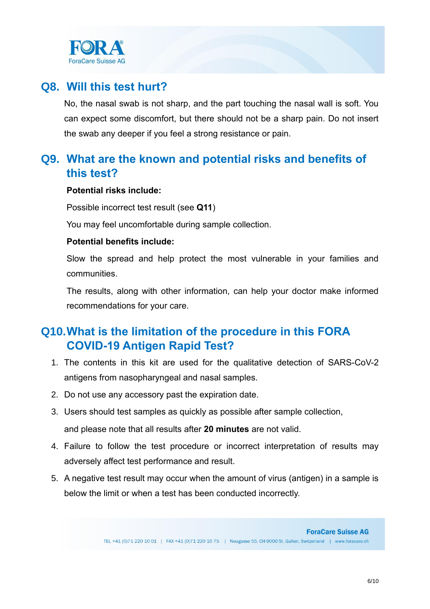

## <span id="page-5-0"></span>**Q8. Will this test hurt?**

No, the nasal swab is not sharp, and the part touching the nasal wall is soft. You can expect some discomfort, but there should not be a sharp pain. Do not insert the swab any deeper if you feel a strong resistance or pain.

## <span id="page-5-1"></span>**Q9. What are the known and potential risks and benefits of this test?**

#### **Potential risks include:**

Possible incorrect test result (see **[Q11](#page-7-0)**)

You may feel uncomfortable during sample collection.

### **Potential benefits include:**

Slow the spread and help protect the most vulnerable in your families and communities.

The results, along with other information, can help your doctor make informed recommendations for your care.

## <span id="page-5-2"></span>**Q10.What is the limitation of the procedure in this FORA COVID-19 Antigen Rapid Test?**

- 1. The contents in this kit are used for the qualitative detection of SARS-CoV-2 antigens from nasopharyngeal and nasal samples.
- 2. Do not use any accessory past the expiration date.
- 3. Users should test samples as quickly as possible after sample collection, and please note that all results after **20 minutes** are not valid.
- 4. Failure to follow the test procedure or incorrect interpretation of results may adversely affect test performance and result.
- 5. A negative test result may occur when the amount of virus (antigen) in a sample is below the limit or when a test has been conducted incorrectly.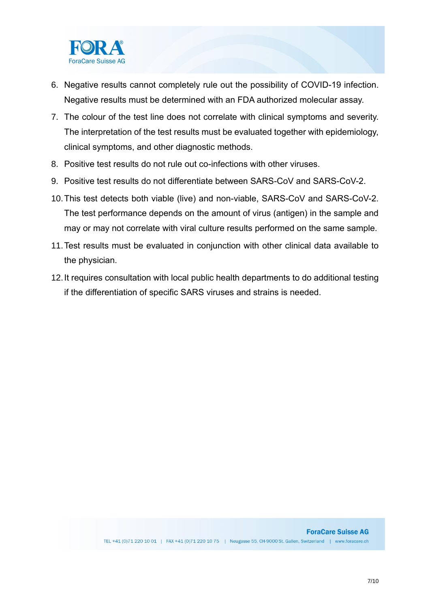

- 6. Negative results cannot completely rule out the possibility of COVID-19 infection. Negative results must be determined with an FDA authorized molecular assay.
- 7. The colour of the test line does not correlate with clinical symptoms and severity. The interpretation of the test results must be evaluated together with epidemiology, clinical symptoms, and other diagnostic methods.
- 8. Positive test results do not rule out co-infections with other viruses.
- 9. Positive test results do not differentiate between SARS-CoV and SARS-CoV-2.
- 10.This test detects both viable (live) and non-viable, SARS-CoV and SARS-CoV-2. The test performance depends on the amount of virus (antigen) in the sample and may or may not correlate with viral culture results performed on the same sample.
- 11.Test results must be evaluated in conjunction with other clinical data available to the physician.
- 12.It requires consultation with local public health departments to do additional testing if the differentiation of specific SARS viruses and strains is needed.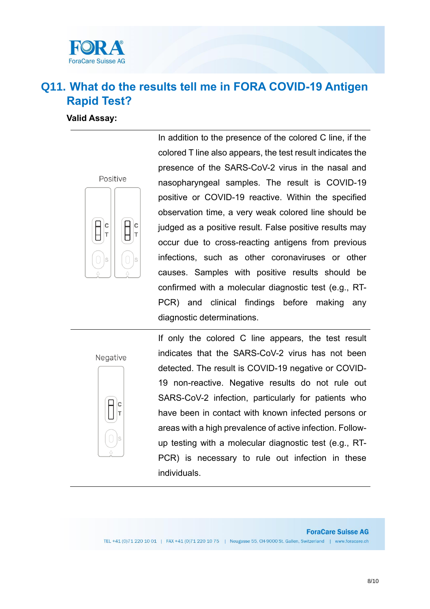

## <span id="page-7-0"></span>**Q11. What do the results tell me in FORA COVID-19 Antigen Rapid Test?**

#### **Valid Assay:**



In addition to the presence of the colored C line, if the colored T line also appears, the test result indicates the presence of the SARS-CoV-2 virus in the nasal and nasopharyngeal samples. The result is COVID-19 positive or COVID-19 reactive. Within the specified observation time, a very weak colored line should be judged as a positive result. False positive results may occur due to cross-reacting antigens from previous infections, such as other coronaviruses or other causes. Samples with positive results should be confirmed with a molecular diagnostic test (e.g., RT-PCR) and clinical findings before making any diagnostic determinations.

#### Negative



If only the colored C line appears, the test result indicates that the SARS-CoV-2 virus has not been detected. The result is COVID-19 negative or COVID-19 non-reactive. Negative results do not rule out SARS-CoV-2 infection, particularly for patients who have been in contact with known infected persons or areas with a high prevalence of active infection. Followup testing with a molecular diagnostic test (e.g., RT-PCR) is necessary to rule out infection in these individuals.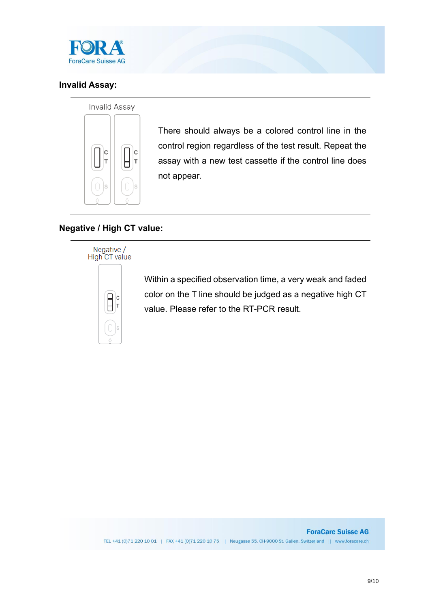

## **Invalid Assay:**

#### Invalid Assay



There should always be a colored control line in the control region regardless of the test result. Repeat the assay with a new test cassette if the control line does not appear.

## **Negative / High CT value:**



Within a specified observation time, a very weak and faded color on the T line should be judged as a negative high CT value. Please refer to the RT-PCR result.